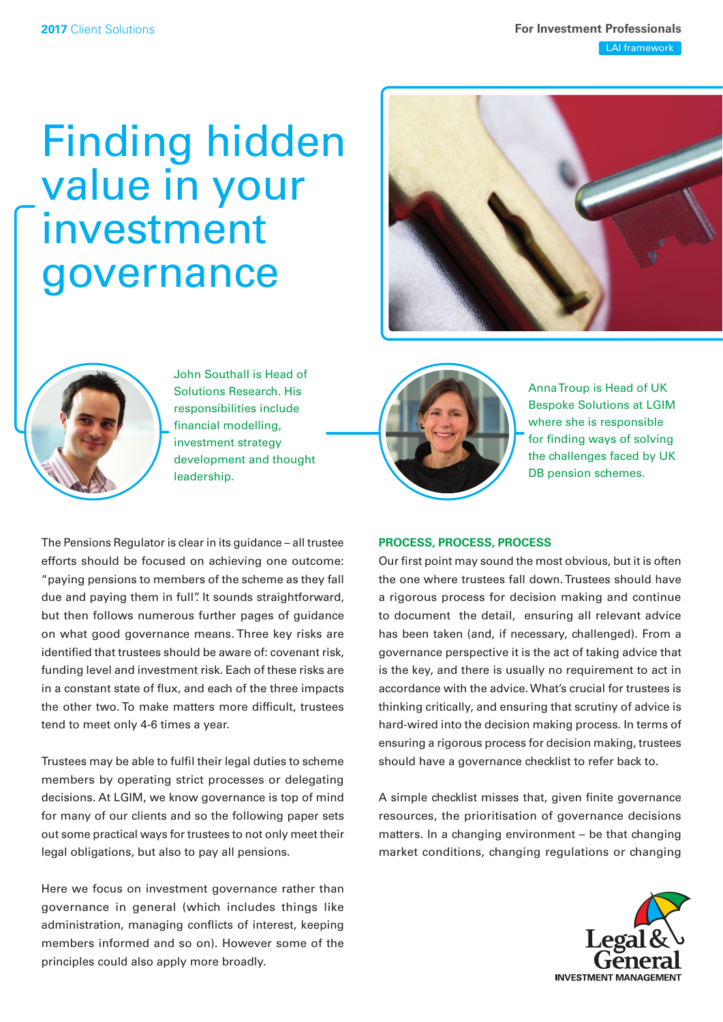# Finding hidden value in your investment governance





John Southall is Head of Solutions Research. His responsibilities include financial modelling, investment strategy development and thought leadership.



Anna Troup is Head of UK Bespoke Solutions at LGIM where she is responsible for finding ways of solving the challenges faced by UK DB pension schemes.

The Pensions Regulator is clear in its guidance – all trustee efforts should be focused on achieving one outcome: "paying pensions to members of the scheme as they fall due and paying them in full". It sounds straightforward, but then follows numerous further pages of guidance on what good governance means. Three key risks are identified that trustees should be aware of: covenant risk, funding level and investment risk. Each of these risks are in a constant state of flux, and each of the three impacts the other two. To make matters more difficult, trustees tend to meet only 4-6 times a year.

Trustees may be able to fulfil their legal duties to scheme members by operating strict processes or delegating decisions. At LGIM, we know governance is top of mind for many of our clients and so the following paper sets out some practical ways for trustees to not only meet their legal obligations, but also to pay all pensions.

Here we focus on investment governance rather than governance in general (which includes things like administration, managing conflicts of interest, keeping members informed and so on). However some of the principles could also apply more broadly.

### **PROCESS, PROCESS, PROCESS**

Our first point may sound the most obvious, but it is often the one where trustees fall down. Trustees should have a rigorous process for decision making and continue to document the detail, ensuring all relevant advice has been taken (and, if necessary, challenged). From a governance perspective it is the act of taking advice that is the key, and there is usually no requirement to act in accordance with the advice. What's crucial for trustees is thinking critically, and ensuring that scrutiny of advice is hard-wired into the decision making process. In terms of ensuring a rigorous process for decision making, trustees should have a governance checklist to refer back to.

A simple checklist misses that, given finite governance resources, the prioritisation of governance decisions matters. In a changing environment – be that changing market conditions, changing regulations or changing

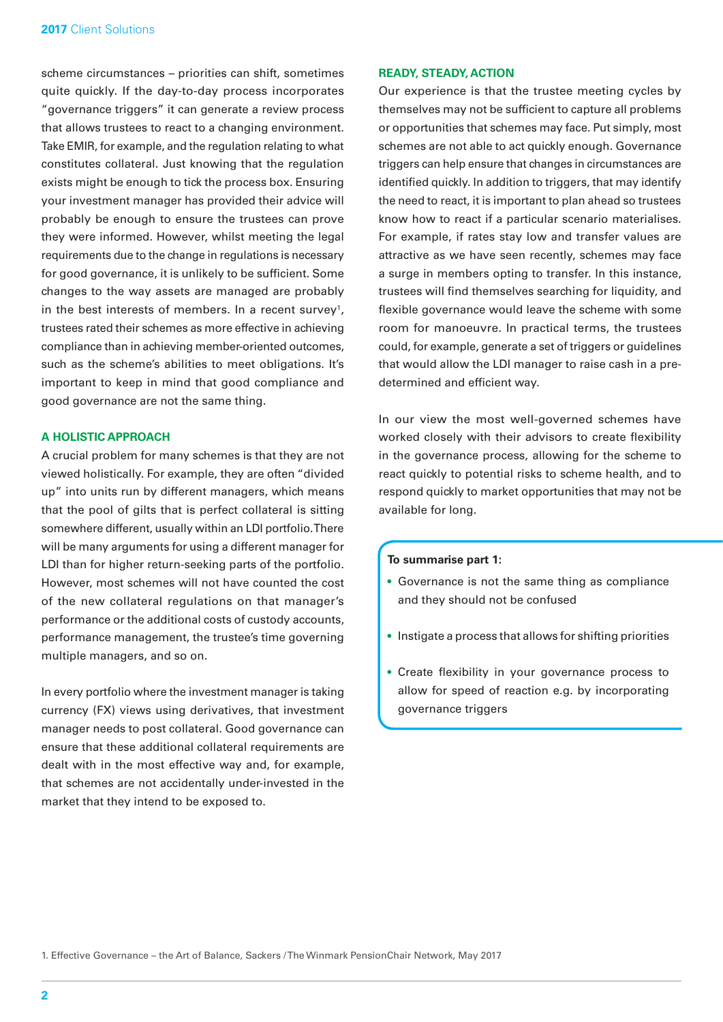scheme circumstances – priorities can shift, sometimes quite quickly. If the day-to-day process incorporates "governance triggers" it can generate a review process that allows trustees to react to a changing environment. Take EMIR, for example, and the regulation relating to what constitutes collateral. Just knowing that the regulation exists might be enough to tick the process box. Ensuring your investment manager has provided their advice will probably be enough to ensure the trustees can prove they were informed. However, whilst meeting the legal requirements due to the change in regulations is necessary for good governance, it is unlikely to be sufficient. Some changes to the way assets are managed are probably in the best interests of members. In a recent survey<sup>1</sup>, trustees rated their schemes as more effective in achieving compliance than in achieving member-oriented outcomes, such as the scheme's abilities to meet obligations. It's important to keep in mind that good compliance and good governance are not the same thing.

## **A HOLISTIC APPROACH**

A crucial problem for many schemes is that they are not viewed holistically. For example, they are often "divided up" into units run by different managers, which means that the pool of gilts that is perfect collateral is sitting somewhere different, usually within an LDI portfolio. There will be many arguments for using a different manager for LDI than for higher return-seeking parts of the portfolio. However, most schemes will not have counted the cost of the new collateral regulations on that manager's performance or the additional costs of custody accounts, performance management, the trustee's time governing multiple managers, and so on.

In every portfolio where the investment manager is taking currency (FX) views using derivatives, that investment manager needs to post collateral. Good governance can ensure that these additional collateral requirements are dealt with in the most effective way and, for example, that schemes are not accidentally under-invested in the market that they intend to be exposed to.

## **READY, STEADY, ACTION**

Our experience is that the trustee meeting cycles by themselves may not be sufficient to capture all problems or opportunities that schemes may face. Put simply, most schemes are not able to act quickly enough. Governance triggers can help ensure that changes in circumstances are identified quickly. In addition to triggers, that may identify the need to react, it is important to plan ahead so trustees know how to react if a particular scenario materialises. For example, if rates stay low and transfer values are attractive as we have seen recently, schemes may face a surge in members opting to transfer. In this instance, trustees will find themselves searching for liquidity, and flexible governance would leave the scheme with some room for manoeuvre. In practical terms, the trustees could, for example, generate a set of triggers or guidelines that would allow the LDI manager to raise cash in a predetermined and efficient way.

In our view the most well-governed schemes have worked closely with their advisors to create flexibility in the governance process, allowing for the scheme to react quickly to potential risks to scheme health, and to respond quickly to market opportunities that may not be available for long.

#### **To summarise part 1:**

- Governance is not the same thing as compliance and they should not be confused
- Instigate a process that allows for shifting priorities
- Create flexibility in your governance process to allow for speed of reaction e.g. by incorporating governance triggers

1. Effective Governance – the Art of Balance, Sackers / The Winmark PensionChair Network, May 2017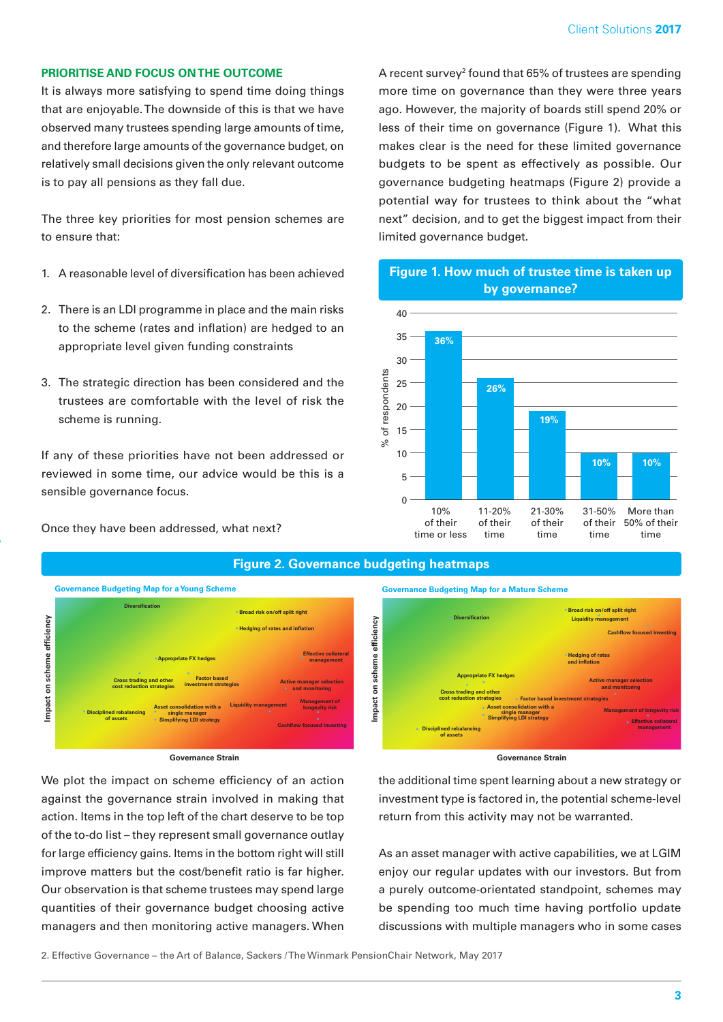## **PRIORITISE AND FOCUS ON THE OUTCOME**

It is always more satisfying to spend time doing things that are enjoyable. The downside of this is that we have observed many trustees spending large amounts of time, and therefore large amounts of the governance budget, on relatively small decisions given the only relevant outcome is to pay all pensions as they fall due.

The three key priorities for most pension schemes are to ensure that:

- 1. A reasonable level of diversification has been achieved
- 2. There is an LDI programme in place and the main risks to the scheme (rates and inflation) are hedged to an appropriate level given funding constraints
- 3. The strategic direction has been considered and the trustees are comfortable with the level of risk the scheme is running.

If any of these priorities have not been addressed or reviewed in some time, our advice would be this is a sensible governance focus.

Once they have been addressed, what next?

A recent survey<sup>2</sup> found that 65% of trustees are spending more time on governance than they were three years ago. However, the majority of boards still spend 20% or less of their time on governance (Figure 1). What this makes clear is the need for these limited governance budgets to be spent as effectively as possible. Our governance budgeting heatmaps (Figure 2) provide a potential way for trustees to think about the "what next" decision, and to get the biggest impact from their limited governance budget.

**Figure 1. How much of trustee time is taken up** 



## **Figure 2. Governance budgeting heatmaps**



#### **Governance Strain**

We plot the impact on scheme efficiency of an action against the governance strain involved in making that action. Items in the top left of the chart deserve to be top of the to-do list – they represent small governance outlay for large efficiency gains. Items in the bottom right will still improve matters but the cost/benefit ratio is far higher. Our observation is that scheme trustees may spend large **Appropriate FX hedges • • Active manager selection quantities of their governance budget choosing active** managers and then monitoring active managers. When **Impact on scheme efficiency •**





#### **Governance Strain**

the additional time spent learning about a new strategy or investment type is factored in, the potential scheme-level return from this activity may not be warranted.

As an asset manager with active capabilities, we at LGIM enjoy our regular updates with our investors. But from a purely outcome-orientated standpoint, schemes may be spending too much time having portfolio update discussions with multiple managers who in some cases

2. Effective Governance – the Art of Balance, Sackers / The Winmark PensionChair Network, May 2017